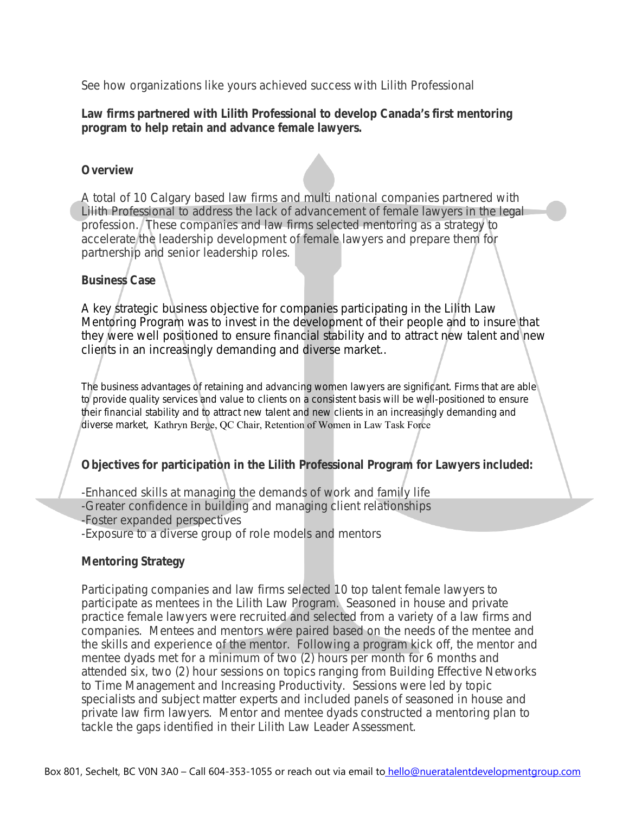See how organizations like yours achieved success with Lilith Professional

# **Law firms partnered with Lilith Professional to develop Canada's first mentoring program to help retain and advance female lawyers.**

#### **Overview**

A total of 10 Calgary based law firms and multi national companies partnered with Lilith Professional to address the lack of advancement of female lawyers in the legal profession. These companies and law firms selected mentoring as a strategy to accelerate the leadership development of female lawyers and prepare them for partnership and senior leadership roles.

# **Business Case**

A key strategic business objective for companies participating in the Lilith Law Mentoring Program was to invest in the development of their people and to insure that they were well positioned to ensure financial stability and to attract new talent and new clients in an increasingly demanding and diverse market..

*The business advantages of retaining and advancing women lawyers are significant. Firms that are able to provide quality services and value to clients on a consistent basis will be well-positioned to ensure their financial stability and to attract new talent and new clients in an increasingly demanding and diverse market,* Kathryn Berge, QC Chair, Retention of Women in Law Task Force

# **Objectives for participation in the Lilith Professional Program for Lawyers included:**

-Enhanced skills at managing the demands of work and family life -Greater confidence in building and managing client relationships -Foster expanded perspectives

-Exposure to a diverse group of role models and mentors

#### **Mentoring Strategy**

Participating companies and law firms selected 10 top talent female lawyers to participate as mentees in the Lilith Law Program. Seasoned in house and private practice female lawyers were recruited and selected from a variety of a law firms and companies. Mentees and mentors were paired based on the needs of the mentee and the skills and experience of the mentor. Following a program kick off, the mentor and mentee dyads met for a minimum of two (2) hours per month for 6 months and attended six, two (2) hour sessions on topics ranging from Building Effective Networks to Time Management and Increasing Productivity. Sessions were led by topic specialists and subject matter experts and included panels of seasoned in house and private law firm lawyers. Mentor and mentee dyads constructed a mentoring plan to tackle the gaps identified in their Lilith Law Leader Assessment.